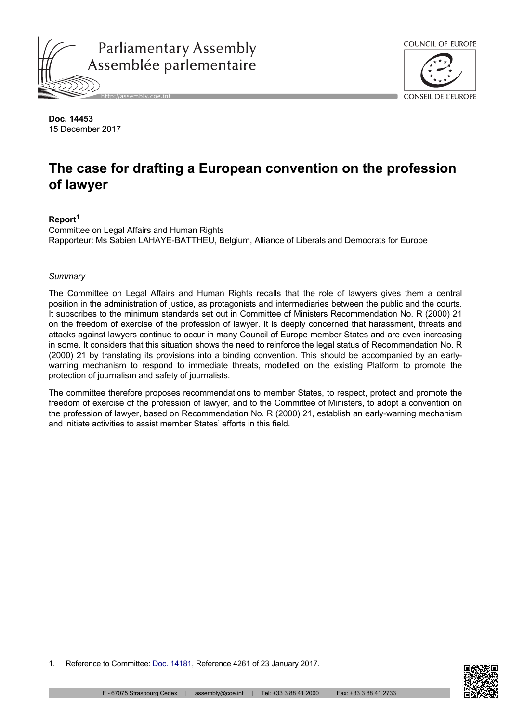



**Doc. 14453** 15 December 2017

# **The case for drafting a European convention on the profession of lawyer**

# **Report<sup>1</sup>**

Committee on Legal Affairs and Human Rights Rapporteur: Ms Sabien LAHAYE-BATTHEU, Belgium, Alliance of Liberals and Democrats for Europe

#### *Summary*

The Committee on Legal Affairs and Human Rights recalls that the role of lawyers gives them a central position in the administration of justice, as protagonists and intermediaries between the public and the courts. It subscribes to the minimum standards set out in Committee of Ministers Recommendation No. R (2000) 21 on the freedom of exercise of the profession of lawyer. It is deeply concerned that harassment, threats and attacks against lawyers continue to occur in many Council of Europe member States and are even increasing in some. It considers that this situation shows the need to reinforce the legal status of Recommendation No. R (2000) 21 by translating its provisions into a binding convention. This should be accompanied by an earlywarning mechanism to respond to immediate threats, modelled on the existing Platform to promote the protection of journalism and safety of journalists.

The committee therefore proposes recommendations to member States, to respect, protect and promote the freedom of exercise of the profession of lawyer, and to the Committee of Ministers, to adopt a convention on the profession of lawyer, based on Recommendation No. R (2000) 21, establish an early-warning mechanism and initiate activities to assist member States' efforts in this field.



<sup>1.</sup> Reference to Committee: [Doc. 14181](http://assembly.coe.int/nw/xml/XRef/Xref-DocDetails-en.asp?FileId=23170), Reference 4261 of 23 January 2017.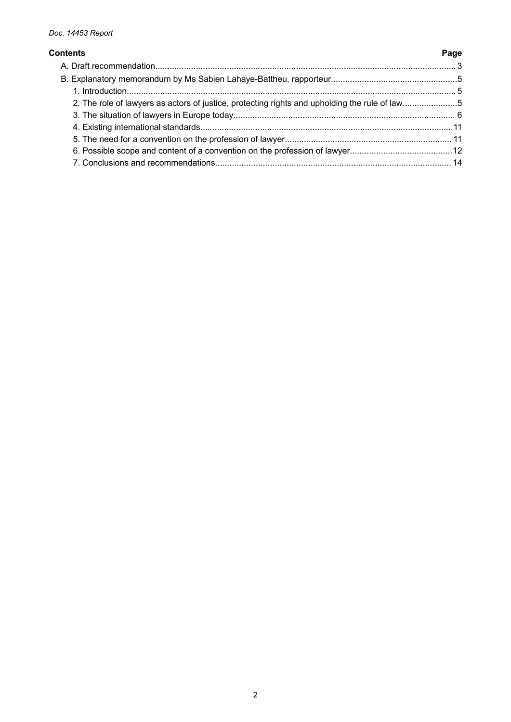#### **Contents Page**

# [A. Draft recommendation.............................................................................................................................. 3](#page-2-0) [B. Explanatory memorandum by Ms Sabien Lahaye-Battheu, rapporteur.....................................................5](#page-4-0) [1. Introduction.......................................................................................................................................... 5](#page-4-0) [2. The role of lawyers as actors of justice, protecting rights and upholding the rule of law.......................5](#page-4-0) [3. The situation of lawyers in Europe today............................................................................................. 6](#page-5-0) [4. Existing international standards..........................................................................................................11](#page-10-0) [5. The need for a convention on the profession of lawyer...................................................................... 11](#page-10-0) [6. Possible scope and content of a convention on the profession of lawyer...........................................12](#page-11-0) [7. Conclusions and recommendations................................................................................................... 14](#page-13-0)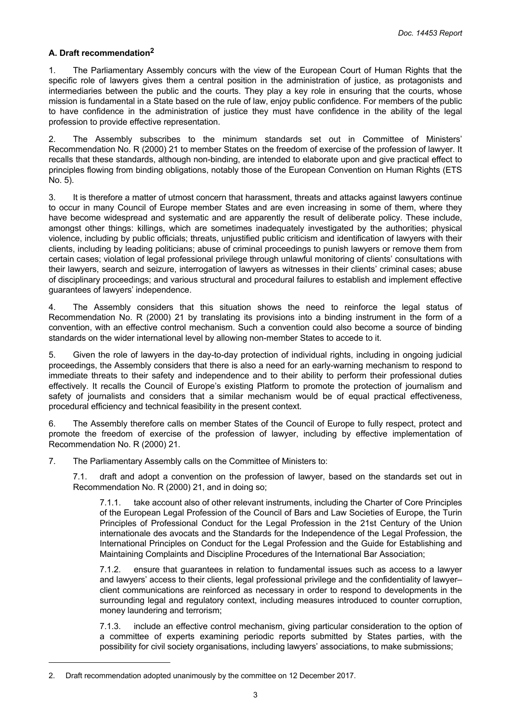### <span id="page-2-0"></span>**A. Draft recommendation<sup>2</sup>**

1. The Parliamentary Assembly concurs with the view of the European Court of Human Rights that the specific role of lawyers gives them a central position in the administration of justice, as protagonists and intermediaries between the public and the courts. They play a key role in ensuring that the courts, whose mission is fundamental in a State based on the rule of law, enjoy public confidence. For members of the public to have confidence in the administration of justice they must have confidence in the ability of the legal profession to provide effective representation.

2. The Assembly subscribes to the minimum standards set out in Committee of Ministers' Recommendation No. R (2000) 21 to member States on the freedom of exercise of the profession of lawyer. It recalls that these standards, although non-binding, are intended to elaborate upon and give practical effect to principles flowing from binding obligations, notably those of the European Convention on Human Rights (ETS No. 5).

3. It is therefore a matter of utmost concern that harassment, threats and attacks against lawyers continue to occur in many Council of Europe member States and are even increasing in some of them, where they have become widespread and systematic and are apparently the result of deliberate policy. These include, amongst other things: killings, which are sometimes inadequately investigated by the authorities; physical violence, including by public officials; threats, unjustified public criticism and identification of lawyers with their clients, including by leading politicians; abuse of criminal proceedings to punish lawyers or remove them from certain cases; violation of legal professional privilege through unlawful monitoring of clients' consultations with their lawyers, search and seizure, interrogation of lawyers as witnesses in their clients' criminal cases; abuse of disciplinary proceedings; and various structural and procedural failures to establish and implement effective guarantees of lawyers' independence.

4. The Assembly considers that this situation shows the need to reinforce the legal status of Recommendation No. R (2000) 21 by translating its provisions into a binding instrument in the form of a convention, with an effective control mechanism. Such a convention could also become a source of binding standards on the wider international level by allowing non-member States to accede to it.

5. Given the role of lawyers in the day-to-day protection of individual rights, including in ongoing judicial proceedings, the Assembly considers that there is also a need for an early-warning mechanism to respond to immediate threats to their safety and independence and to their ability to perform their professional duties effectively. It recalls the Council of Europe's existing Platform to promote the protection of journalism and safety of journalists and considers that a similar mechanism would be of equal practical effectiveness, procedural efficiency and technical feasibility in the present context.

6. The Assembly therefore calls on member States of the Council of Europe to fully respect, protect and promote the freedom of exercise of the profession of lawyer, including by effective implementation of Recommendation No. R (2000) 21.

7. The Parliamentary Assembly calls on the Committee of Ministers to:

7.1. draft and adopt a convention on the profession of lawyer, based on the standards set out in Recommendation No. R (2000) 21, and in doing so;

7.1.1. take account also of other relevant instruments, including the Charter of Core Principles of the European Legal Profession of the Council of Bars and Law Societies of Europe, the Turin Principles of Professional Conduct for the Legal Profession in the 21st Century of the Union internationale des avocats and the Standards for the Independence of the Legal Profession, the International Principles on Conduct for the Legal Profession and the Guide for Establishing and Maintaining Complaints and Discipline Procedures of the International Bar Association;

7.1.2. ensure that guarantees in relation to fundamental issues such as access to a lawyer and lawyers' access to their clients, legal professional privilege and the confidentiality of lawyer– client communications are reinforced as necessary in order to respond to developments in the surrounding legal and regulatory context, including measures introduced to counter corruption, money laundering and terrorism;

7.1.3. include an effective control mechanism, giving particular consideration to the option of a committee of experts examining periodic reports submitted by States parties, with the possibility for civil society organisations, including lawyers' associations, to make submissions;

<sup>2.</sup> Draft recommendation adopted unanimously by the committee on 12 December 2017.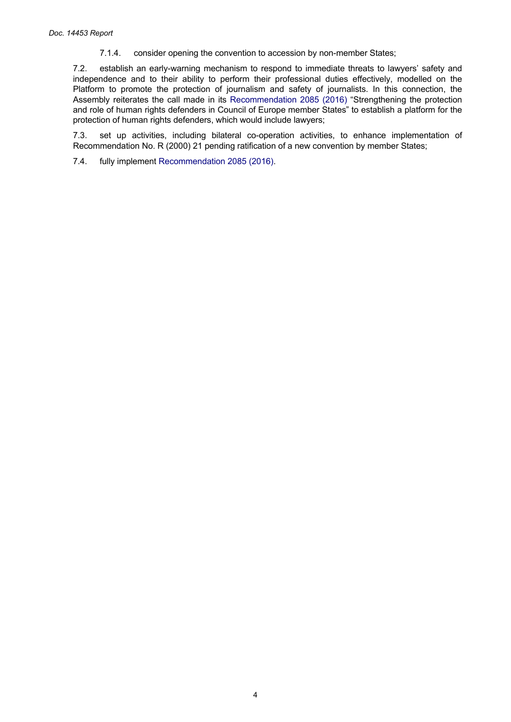7.1.4. consider opening the convention to accession by non-member States;

7.2. establish an early-warning mechanism to respond to immediate threats to lawyers' safety and independence and to their ability to perform their professional duties effectively, modelled on the Platform to promote the protection of journalism and safety of journalists. In this connection, the Assembly reiterates the call made in its [Recommendation](http://assembly.coe.int/nw/xml/XRef/Xref-DocDetails-en.asp?FileId=22501) 2085 (2016) "Strengthening the protection and role of human rights defenders in Council of Europe member States" to establish a platform for the protection of human rights defenders, which would include lawyers;

7.3. set up activities, including bilateral co-operation activities, to enhance implementation of Recommendation No. R (2000) 21 pending ratification of a new convention by member States;

7.4. fully implement [Recommendation 2085 \(2016\).](http://assembly.coe.int/nw/xml/XRef/Xref-DocDetails-en.asp?FileId=22501)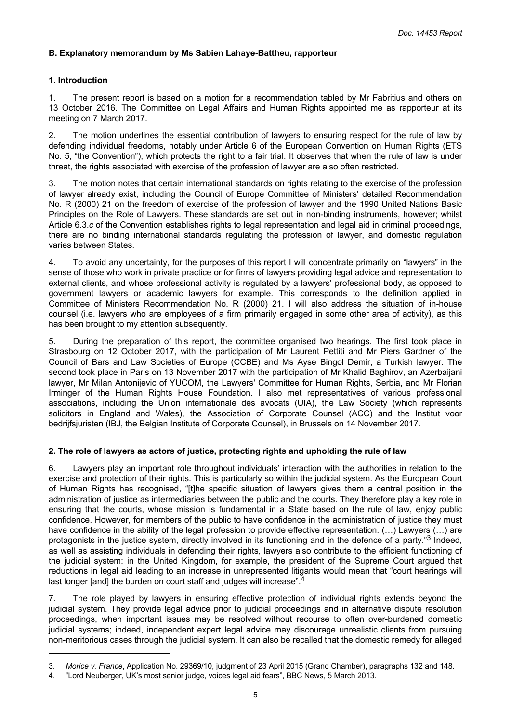#### <span id="page-4-0"></span>**B. Explanatory memorandum by Ms Sabien Lahaye-Battheu, rapporteur**

#### **1. Introduction**

1. The present report is based on a motion for a recommendation tabled by Mr Fabritius and others on 13 October 2016. The Committee on Legal Affairs and Human Rights appointed me as rapporteur at its meeting on 7 March 2017.

2. The motion underlines the essential contribution of lawyers to ensuring respect for the rule of law by defending individual freedoms, notably under Article 6 of the European Convention on Human Rights (ETS No. 5, "the Convention"), which protects the right to a fair trial. It observes that when the rule of law is under threat, the rights associated with exercise of the profession of lawyer are also often restricted.

3. The motion notes that certain international standards on rights relating to the exercise of the profession of lawyer already exist, including the Council of Europe Committee of Ministers' detailed Recommendation No. R (2000) 21 on the freedom of exercise of the profession of lawyer and the 1990 United Nations Basic Principles on the Role of Lawyers. These standards are set out in non-binding instruments, however; whilst Article 6.3.*c* of the Convention establishes rights to legal representation and legal aid in criminal proceedings, there are no binding international standards regulating the profession of lawyer, and domestic regulation varies between States.

4. To avoid any uncertainty, for the purposes of this report I will concentrate primarily on "lawyers" in the sense of those who work in private practice or for firms of lawyers providing legal advice and representation to external clients, and whose professional activity is regulated by a lawyers' professional body, as opposed to government lawyers or academic lawyers for example. This corresponds to the definition applied in Committee of Ministers Recommendation No. R (2000) 21. I will also address the situation of in-house counsel (i.e. lawyers who are employees of a firm primarily engaged in some other area of activity), as this has been brought to my attention subsequently.

5. During the preparation of this report, the committee organised two hearings. The first took place in Strasbourg on 12 October 2017, with the participation of Mr Laurent Pettiti and Mr Piers Gardner of the Council of Bars and Law Societies of Europe (CCBE) and Ms Ayse Bingol Demir, a Turkish lawyer. The second took place in Paris on 13 November 2017 with the participation of Mr Khalid Baghirov, an Azerbaijani lawyer, Mr Milan Antonijevic of YUCOM, the Lawyers' Committee for Human Rights, Serbia, and Mr Florian Irminger of the Human Rights House Foundation. I also met representatives of various professional associations, including the Union internationale des avocats (UIA), the Law Society (which represents solicitors in England and Wales), the Association of Corporate Counsel (ACC) and the Institut voor bedrijfsjuristen (IBJ, the Belgian Institute of Corporate Counsel), in Brussels on 14 November 2017.

#### **2. The role of lawyers as actors of justice, protecting rights and upholding the rule of law**

6. Lawyers play an important role throughout individuals' interaction with the authorities in relation to the exercise and protection of their rights. This is particularly so within the judicial system. As the European Court of Human Rights has recognised, "[t]he specific situation of lawyers gives them a central position in the administration of justice as intermediaries between the public and the courts. They therefore play a key role in ensuring that the courts, whose mission is fundamental in a State based on the rule of law, enjoy public confidence. However, for members of the public to have confidence in the administration of justice they must have confidence in the ability of the legal profession to provide effective representation. (...) Lawyers (...) are protagonists in the justice system, directly involved in its functioning and in the defence of a party."<sup>3</sup> Indeed, as well as assisting individuals in defending their rights, lawyers also contribute to the efficient functioning of the judicial system: in the United Kingdom, for example, the president of the Supreme Court argued that reductions in legal aid leading to an increase in unrepresented litigants would mean that "court hearings will last longer [and] the burden on court staff and judges will increase".<sup>4</sup>

7. The role played by lawyers in ensuring effective protection of individual rights extends beyond the judicial system. They provide legal advice prior to judicial proceedings and in alternative dispute resolution proceedings, when important issues may be resolved without recourse to often over-burdened domestic judicial systems; indeed, independent expert legal advice may discourage unrealistic clients from pursuing non-meritorious cases through the judicial system. It can also be recalled that the domestic remedy for alleged

<sup>3.</sup> *Morice v. France*, Application No. 29369/10, judgment of 23 April 2015 (Grand Chamber), paragraphs 132 and 148.

<sup>4. &</sup>quot;Lord Neuberger, UK's most senior judge, voices legal aid fears", BBC News, 5 March 2013.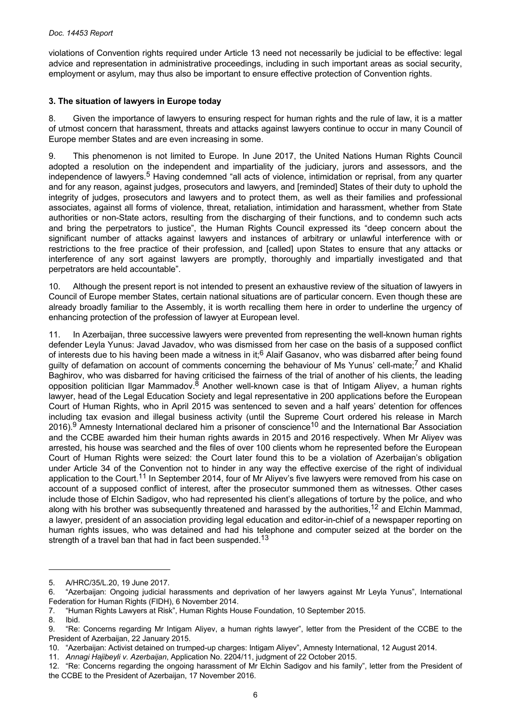<span id="page-5-0"></span>violations of Convention rights required under Article 13 need not necessarily be judicial to be effective: legal advice and representation in administrative proceedings, including in such important areas as social security, employment or asylum, may thus also be important to ensure effective protection of Convention rights.

### **3. The situation of lawyers in Europe today**

8. Given the importance of lawyers to ensuring respect for human rights and the rule of law, it is a matter of utmost concern that harassment, threats and attacks against lawyers continue to occur in many Council of Europe member States and are even increasing in some.

9. This phenomenon is not limited to Europe. In June 2017, the United Nations Human Rights Council adopted a resolution on the independent and impartiality of the judiciary, jurors and assessors, and the independence of lawyers.<sup>5</sup> Having condemned "all acts of violence, intimidation or reprisal, from any quarter and for any reason, against judges, prosecutors and lawyers, and [reminded] States of their duty to uphold the integrity of judges, prosecutors and lawyers and to protect them, as well as their families and professional associates, against all forms of violence, threat, retaliation, intimidation and harassment, whether from State authorities or non-State actors, resulting from the discharging of their functions, and to condemn such acts and bring the perpetrators to justice", the Human Rights Council expressed its "deep concern about the significant number of attacks against lawyers and instances of arbitrary or unlawful interference with or restrictions to the free practice of their profession, and [called] upon States to ensure that any attacks or interference of any sort against lawyers are promptly, thoroughly and impartially investigated and that perpetrators are held accountable".

Although the present report is not intended to present an exhaustive review of the situation of lawyers in Council of Europe member States, certain national situations are of particular concern. Even though these are already broadly familiar to the Assembly, it is worth recalling them here in order to underline the urgency of enhancing protection of the profession of lawyer at European level.

11. In Azerbaijan, three successive lawyers were prevented from representing the well-known human rights defender Leyla Yunus: Javad Javadov, who was dismissed from her case on the basis of a supposed conflict of interests due to his having been made a witness in it;6 Alaif Gasanov, who was disbarred after being found guilty of defamation on account of comments concerning the behaviour of Ms Yunus' cell-mate;<sup>7</sup> and Khalid Baghirov, who was disbarred for having criticised the fairness of the trial of another of his clients, the leading opposition politician Ilgar Mammadov. $8$  Another well-known case is that of Intigam Aliyev, a human rights lawyer, head of the Legal Education Society and legal representative in 200 applications before the European Court of Human Rights, who in April 2015 was sentenced to seven and a half years' detention for offences including tax evasion and illegal business activity (until the Supreme Court ordered his release in March 2016).<sup>9</sup> Amnesty International declared him a prisoner of conscience<sup>10</sup> and the International Bar Association and the CCBE awarded him their human rights awards in 2015 and 2016 respectively. When Mr Aliyev was arrested, his house was searched and the files of over 100 clients whom he represented before the European Court of Human Rights were seized: the Court later found this to be a violation of Azerbaijan's obligation under Article 34 of the Convention not to hinder in any way the effective exercise of the right of individual application to the Court.<sup>11</sup> In September 2014, four of Mr Aliyev's five lawyers were removed from his case on account of a supposed conflict of interest, after the prosecutor summoned them as witnesses. Other cases include those of Elchin Sadigov, who had represented his client's allegations of torture by the police, and who along with his brother was subsequently threatened and harassed by the authorities,<sup>12</sup> and Elchin Mammad, a lawyer, president of an association providing legal education and editor-in-chief of a newspaper reporting on human rights issues, who was detained and had his telephone and computer seized at the border on the strength of a travel ban that had in fact been suspended.<sup>13</sup>

<sup>5.</sup> A/HRC/35/L.20, 19 June 2017.

<sup>6. &</sup>quot;Azerbaijan: Ongoing judicial harassments and deprivation of her lawyers against Mr Leyla Yunus", International Federation for Human Rights (FIDH), 6 November 2014.

<sup>7. &</sup>quot;Human Rights Lawyers at Risk", Human Rights House Foundation, 10 September 2015.

Ibid.

<sup>9. &</sup>quot;Re: Concerns regarding Mr Intigam Aliyev, a human rights lawyer", letter from the President of the CCBE to the President of Azerbaijan, 22 January 2015.

<sup>10. &</sup>quot;Azerbaijan: Activist detained on trumped-up charges: Intigam Aliyev", Amnesty International, 12 August 2014.

<sup>11.</sup> *Annagi Hajibeyli v. Azerbaijan*, Application No. 2204/11, judgment of 22 October 2015.

<sup>12. &</sup>quot;Re: Concerns regarding the ongoing harassment of Mr Elchin Sadigov and his family", letter from the President of the CCBE to the President of Azerbaijan, 17 November 2016.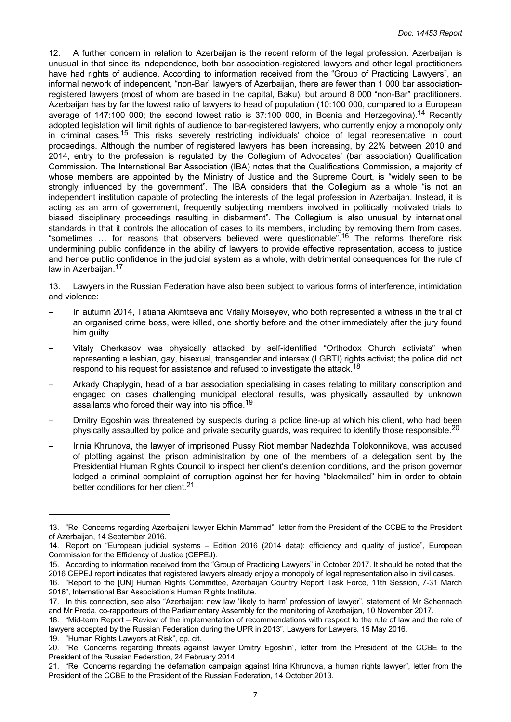12. A further concern in relation to Azerbaijan is the recent reform of the legal profession. Azerbaijan is unusual in that since its independence, both bar association-registered lawyers and other legal practitioners have had rights of audience. According to information received from the "Group of Practicing Lawyers", an informal network of independent, "non-Bar" lawyers of Azerbaijan, there are fewer than 1 000 bar associationregistered lawyers (most of whom are based in the capital, Baku), but around 8 000 "non-Bar" practitioners. Azerbaijan has by far the lowest ratio of lawyers to head of population (10:100 000, compared to a European average of 147:100 000; the second lowest ratio is 37:100 000, in Bosnia and Herzegovina).<sup>14</sup> Recently adopted legislation will limit rights of audience to bar-registered lawyers, who currently enjoy a monopoly only in criminal cases.<sup>15</sup> This risks severely restricting individuals' choice of legal representative in court proceedings. Although the number of registered lawyers has been increasing, by 22% between 2010 and 2014, entry to the profession is regulated by the Collegium of Advocates' (bar association) Qualification Commission. The International Bar Association (IBA) notes that the Qualifications Commission, a majority of whose members are appointed by the Ministry of Justice and the Supreme Court, is "widely seen to be strongly influenced by the government". The IBA considers that the Collegium as a whole "is not an independent institution capable of protecting the interests of the legal profession in Azerbaijan. Instead, it is acting as an arm of government, frequently subjecting members involved in politically motivated trials to biased disciplinary proceedings resulting in disbarment". The Collegium is also unusual by international standards in that it controls the allocation of cases to its members, including by removing them from cases, "sometimes ... for reasons that observers believed were questionable".<sup>16</sup> The reforms therefore risk undermining public confidence in the ability of lawyers to provide effective representation, access to justice and hence public confidence in the judicial system as a whole, with detrimental consequences for the rule of law in Azerbaijan.<sup>17</sup>

13. Lawyers in the Russian Federation have also been subject to various forms of interference, intimidation and violence:

- In autumn 2014, Tatiana Akimtseva and Vitaliy Moiseyev, who both represented a witness in the trial of an organised crime boss, were killed, one shortly before and the other immediately after the jury found him guilty.
- Vitaly Cherkasov was physically attacked by self-identified "Orthodox Church activists" when representing a lesbian, gay, bisexual, transgender and intersex (LGBTI) rights activist; the police did not respond to his request for assistance and refused to investigate the attack.<sup>18</sup>
- Arkady Chaplygin, head of a bar association specialising in cases relating to military conscription and engaged on cases challenging municipal electoral results, was physically assaulted by unknown assailants who forced their way into his office.<sup>19</sup>
- Dmitry Egoshin was threatened by suspects during a police line-up at which his client, who had been physically assaulted by police and private security guards, was required to identify those responsible.<sup>20</sup>
- Irinia Khrunova, the lawyer of imprisoned Pussy Riot member Nadezhda Tolokonnikova, was accused of plotting against the prison administration by one of the members of a delegation sent by the Presidential Human Rights Council to inspect her client's detention conditions, and the prison governor lodged a criminal complaint of corruption against her for having "blackmailed" him in order to obtain better conditions for her client.<sup>21</sup>

19. "Human Rights Lawyers at Risk", op. cit.

<sup>13. &</sup>quot;Re: Concerns regarding Azerbaijani lawyer Elchin Mammad", letter from the President of the CCBE to the President of Azerbaijan, 14 September 2016.

<sup>14.</sup> Report on "European judicial systems – Edition 2016 (2014 data): efficiency and quality of justice", European Commission for the Efficiency of Justice (CEPEJ).

<sup>15.</sup> According to information received from the "Group of Practicing Lawyers" in October 2017. It should be noted that the 2016 CEPEJ report indicates that registered lawyers already enjoy a monopoly of legal representation also in civil cases.

<sup>16. &</sup>quot;Report to the [UN] Human Rights Committee, Azerbaijan Country Report Task Force, 11th Session, 7-31 March 2016", International Bar Association's Human Rights Institute.

<sup>17.</sup> In this connection, see also "Azerbaijan: new law 'likely to harm' profession of lawyer", statement of Mr Schennach and Mr Preda, co-rapporteurs of the Parliamentary Assembly for the monitoring of Azerbaijan, 10 November 2017.

<sup>18. &</sup>quot;Mid-term Report – Review of the implementation of recommendations with respect to the rule of law and the role of lawyers accepted by the Russian Federation during the UPR in 2013", Lawyers for Lawyers, 15 May 2016.

<sup>20. &</sup>quot;Re: Concerns regarding threats against lawyer Dmitry Egoshin", letter from the President of the CCBE to the President of the Russian Federation, 24 February 2014.

<sup>21. &</sup>quot;Re: Concerns regarding the defamation campaign against Irina Khrunova, a human rights lawyer", letter from the President of the CCBE to the President of the Russian Federation, 14 October 2013.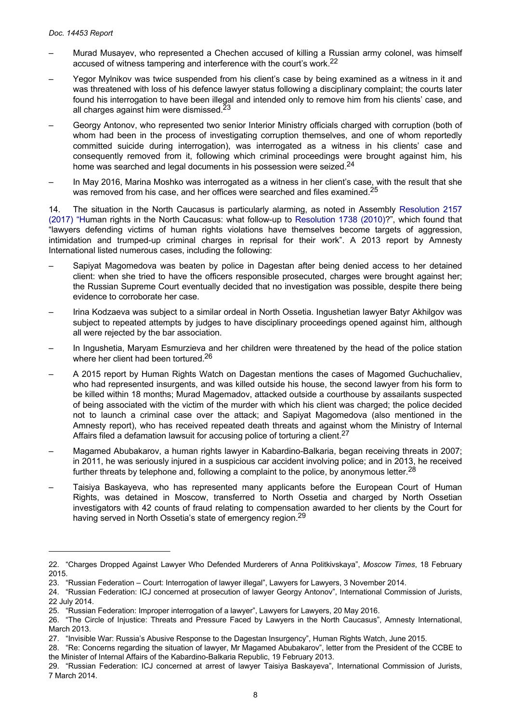- Murad Musayev, who represented a Chechen accused of killing a Russian army colonel, was himself accused of witness tampering and interference with the court's work.<sup>22</sup>
- Yegor Mylnikov was twice suspended from his client's case by being examined as a witness in it and was threatened with loss of his defence lawyer status following a disciplinary complaint; the courts later found his interrogation to have been illegal and intended only to remove him from his clients' case, and all charges against him were dismissed.<sup>23</sup>
- Georgy Antonov, who represented two senior Interior Ministry officials charged with corruption (both of whom had been in the process of investigating corruption themselves, and one of whom reportedly committed suicide during interrogation), was interrogated as a witness in his clients' case and consequently removed from it, following which criminal proceedings were brought against him, his home was searched and legal documents in his possession were seized.<sup>24</sup>
- In May 2016, Marina Moshko was interrogated as a witness in her client's case, with the result that she was removed from his case, and her offices were searched and files examined.<sup>25</sup>

14. The situation in the North Caucasus is particularly alarming, as noted in Assembly [Resolution](http://assembly.coe.int/nw/xml/XRef/Xref-DocDetails-en.asp?FileId=23675) 2157 [\(2017\)](http://assembly.coe.int/nw/xml/XRef/Xref-DocDetails-en.asp?FileId=23675) "Human rights in the North Caucasus: what follow-up to [Resolution](http://assembly.coe.int/nw/xml/XRef/Xref-DocDetails-en.asp?FileId=17870) 1738 (2010)?", which found that "lawyers defending victims of human rights violations have themselves become targets of aggression, intimidation and trumped-up criminal charges in reprisal for their work". A 2013 report by Amnesty International listed numerous cases, including the following:

- Sapiyat Magomedova was beaten by police in Dagestan after being denied access to her detained client: when she tried to have the officers responsible prosecuted, charges were brought against her; the Russian Supreme Court eventually decided that no investigation was possible, despite there being evidence to corroborate her case.
- Irina Kodzaeva was subject to a similar ordeal in North Ossetia. Ingushetian lawyer Batyr Akhilgov was subject to repeated attempts by judges to have disciplinary proceedings opened against him, although all were rejected by the bar association.
- In Ingushetia, Maryam Esmurzieva and her children were threatened by the head of the police station where her client had been tortured.<sup>26</sup>
- A 2015 report by Human Rights Watch on Dagestan mentions the cases of Magomed Guchuchaliev, who had represented insurgents, and was killed outside his house, the second lawyer from his form to be killed within 18 months; Murad Magemadov, attacked outside a courthouse by assailants suspected of being associated with the victim of the murder with which his client was charged; the police decided not to launch a criminal case over the attack; and Sapiyat Magomedova (also mentioned in the Amnesty report), who has received repeated death threats and against whom the Ministry of Internal Affairs filed a defamation lawsuit for accusing police of torturing a client.<sup>27</sup>
- Magamed Abubakarov, a human rights lawyer in Kabardino-Balkaria, began receiving threats in 2007; in 2011, he was seriously injured in a suspicious car accident involving police; and in 2013, he received further threats by telephone and, following a complaint to the police, by anonymous letter.<sup>28</sup>
- Taisiya Baskayeva, who has represented many applicants before the European Court of Human Rights, was detained in Moscow, transferred to North Ossetia and charged by North Ossetian investigators with 42 counts of fraud relating to compensation awarded to her clients by the Court for having served in North Ossetia's state of emergency region.<sup>29</sup>

<sup>22. &</sup>quot;Charges Dropped Against Lawyer Who Defended Murderers of Anna Politkivskaya", *Moscow Times*, 18 February 2015.

<sup>23. &</sup>quot;Russian Federation – Court: Interrogation of lawyer illegal", Lawyers for Lawyers, 3 November 2014.

<sup>24. &</sup>quot;Russian Federation: ICJ concerned at prosecution of lawyer Georgy Antonov", International Commission of Jurists, 22 July 2014.

<sup>25. &</sup>quot;Russian Federation: Improper interrogation of a lawyer", Lawyers for Lawyers, 20 May 2016.

<sup>26. &</sup>quot;The Circle of Injustice: Threats and Pressure Faced by Lawyers in the North Caucasus", Amnesty International, March 2013.

<sup>27. &</sup>quot;Invisible War: Russia's Abusive Response to the Dagestan Insurgency", Human Rights Watch, June 2015.

<sup>28. &</sup>quot;Re: Concerns regarding the situation of lawyer, Mr Magamed Abubakarov", letter from the President of the CCBE to the Minister of Internal Affairs of the Kabardino-Balkaria Republic, 19 February 2013.

<sup>29. &</sup>quot;Russian Federation: ICJ concerned at arrest of lawyer Taisiya Baskayeva", International Commission of Jurists, 7 March 2014.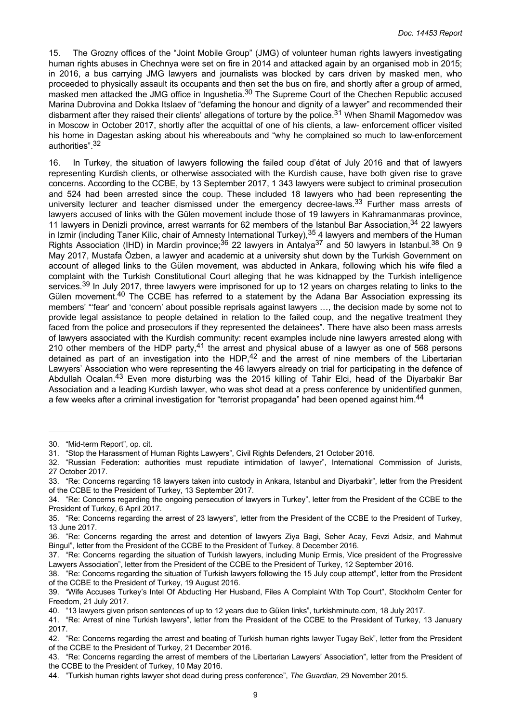15. The Grozny offices of the "Joint Mobile Group" (JMG) of volunteer human rights lawyers investigating human rights abuses in Chechnya were set on fire in 2014 and attacked again by an organised mob in 2015; in 2016, a bus carrying JMG lawyers and journalists was blocked by cars driven by masked men, who proceeded to physically assault its occupants and then set the bus on fire, and shortly after a group of armed, masked men attacked the JMG office in Ingushetia.<sup>30</sup> The Supreme Court of the Chechen Republic accused Marina Dubrovina and Dokka Itslaev of "defaming the honour and dignity of a lawyer" and recommended their disbarment after they raised their clients' allegations of torture by the police.<sup>31</sup> When Shamil Magomedov was in Moscow in October 2017, shortly after the acquittal of one of his clients, a law- enforcement officer visited his home in Dagestan asking about his whereabouts and "why he complained so much to law-enforcement authorities".<sup>32</sup>

16. In Turkey, the situation of lawyers following the failed coup d'état of July 2016 and that of lawyers representing Kurdish clients, or otherwise associated with the Kurdish cause, have both given rise to grave concerns. According to the CCBE, by 13 September 2017, 1 343 lawyers were subject to criminal prosecution and 524 had been arrested since the coup. These included 18 lawyers who had been representing the university lecturer and teacher dismissed under the emergency decree-laws.<sup>33</sup> Further mass arrests of lawyers accused of links with the Gülen movement include those of 19 lawyers in Kahramanmaras province, 11 lawyers in Denizli province, arrest warrants for 62 members of the Istanbul Bar Association, 34 22 lawyers in Izmir (including Taner Kilic, chair of Amnesty International Turkey), <sup>35</sup> 4 lawyers and members of the Human Rights Association (IHD) in Mardin province:  $36$  22 lawyers in Antalya<sup>37</sup> and 50 lawyers in Istanbul.  $38$  On 9 May 2017, Mustafa Özben, a lawyer and academic at a university shut down by the Turkish Government on account of alleged links to the Gülen movement, was abducted in Ankara, following which his wife filed a complaint with the Turkish Constitutional Court alleging that he was kidnapped by the Turkish intelligence services.<sup>39</sup> In July 2017, three lawyers were imprisoned for up to 12 years on charges relating to links to the Gülen movement.<sup>40</sup> The CCBE has referred to a statement by the Adana Bar Association expressing its members' "'fear' and 'concern' about possible reprisals against lawyers …, the decision made by some not to provide legal assistance to people detained in relation to the failed coup, and the negative treatment they faced from the police and prosecutors if they represented the detainees". There have also been mass arrests of lawyers associated with the Kurdish community: recent examples include nine lawyers arrested along with 210 other members of the HDP party,<sup>41</sup> the arrest and physical abuse of a lawyer as one of 568 persons detained as part of an investigation into the HDP.<sup>42</sup> and the arrest of nine members of the Libertarian Lawyers' Association who were representing the 46 lawyers already on trial for participating in the defence of Abdullah Ocalan.<sup>43</sup> Even more disturbing was the 2015 killing of Tahir Elci, head of the Diyarbakir Bar Association and a leading Kurdish lawyer, who was shot dead at a press conference by unidentified gunmen, a few weeks after a criminal investigation for "terrorist propaganda" had been opened against him.<sup>44</sup>

<sup>30. &</sup>quot;Mid-term Report", op. cit.

<sup>31. &</sup>quot;Stop the Harassment of Human Rights Lawyers", Civil Rights Defenders, 21 October 2016.

<sup>32. &</sup>quot;Russian Federation: authorities must repudiate intimidation of lawyer", International Commission of Jurists, 27 October 2017.

<sup>33. &</sup>quot;Re: Concerns regarding 18 lawyers taken into custody in Ankara, Istanbul and Diyarbakir", letter from the President of the CCBE to the President of Turkey, 13 September 2017.

<sup>34. &</sup>quot;Re: Concerns regarding the ongoing persecution of lawyers in Turkey", letter from the President of the CCBE to the President of Turkey, 6 April 2017.

<sup>35. &</sup>quot;Re: Concerns regarding the arrest of 23 lawyers", letter from the President of the CCBE to the President of Turkey, 13 June 2017.

<sup>36. &</sup>quot;Re: Concerns regarding the arrest and detention of lawyers Ziya Bagi, Seher Acay, Fevzi Adsiz, and Mahmut Bingul", letter from the President of the CCBE to the President of Turkey, 8 December 2016.

<sup>37. &</sup>quot;Re: Concerns regarding the situation of Turkish lawyers, including Munip Ermis, Vice president of the Progressive Lawyers Association", letter from the President of the CCBE to the President of Turkey, 12 September 2016.

<sup>38. &</sup>quot;Re: Concerns regarding the situation of Turkish lawyers following the 15 July coup attempt", letter from the President of the CCBE to the President of Turkey, 19 August 2016.

<sup>39. &</sup>quot;Wife Accuses Turkey's Intel Of Abducting Her Husband, Files A Complaint With Top Court", Stockholm Center for Freedom, 21 July 2017.

<sup>40. &</sup>quot;13 lawyers given prison sentences of up to 12 years due to Gülen links", turkishminute.com, 18 July 2017.

<sup>41. &</sup>quot;Re: Arrest of nine Turkish lawyers", letter from the President of the CCBE to the President of Turkey, 13 January 2017.

<sup>42. &</sup>quot;Re: Concerns regarding the arrest and beating of Turkish human rights lawyer Tugay Bek", letter from the President of the CCBE to the President of Turkey, 21 December 2016.

<sup>43. &</sup>quot;Re: Concerns regarding the arrest of members of the Libertarian Lawyers' Association", letter from the President of the CCBE to the President of Turkey, 10 May 2016.

<sup>44. &</sup>quot;Turkish human rights lawyer shot dead during press conference", *The Guardian*, 29 November 2015.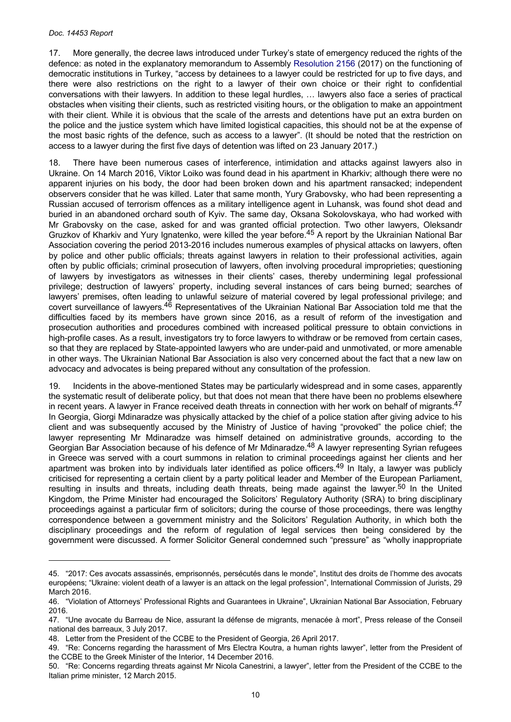17. More generally, the decree laws introduced under Turkey's state of emergency reduced the rights of the defence: as noted in the explanatory memorandum to Assembly [Resolution 2156](http://assembly.coe.int/nw/xml/XRef/Xref-DocDetails-en.asp?FileId=23665) (2017) on the functioning of democratic institutions in Turkey, "access by detainees to a lawyer could be restricted for up to five days, and there were also restrictions on the right to a lawyer of their own choice or their right to confidential conversations with their lawyers. In addition to these legal hurdles, … lawyers also face a series of practical obstacles when visiting their clients, such as restricted visiting hours, or the obligation to make an appointment with their client. While it is obvious that the scale of the arrests and detentions have put an extra burden on the police and the justice system which have limited logistical capacities, this should not be at the expense of the most basic rights of the defence, such as access to a lawyer". (It should be noted that the restriction on access to a lawyer during the first five days of detention was lifted on 23 January 2017.)

18. There have been numerous cases of interference, intimidation and attacks against lawyers also in Ukraine. On 14 March 2016, Viktor Loiko was found dead in his apartment in Kharkiv; although there were no apparent injuries on his body, the door had been broken down and his apartment ransacked; independent observers consider that he was killed. Later that same month, Yury Grabovsky, who had been representing a Russian accused of terrorism offences as a military intelligence agent in Luhansk, was found shot dead and buried in an abandoned orchard south of Kyiv. The same day, Oksana Sokolovskaya, who had worked with Mr Grabovsky on the case, asked for and was granted official protection. Two other lawyers, Oleksandr Gruzkov of Kharkiv and Yury Ignatenko, were killed the year before.<sup>45</sup> A report by the Ukrainian National Bar Association covering the period 2013-2016 includes numerous examples of physical attacks on lawyers, often by police and other public officials; threats against lawyers in relation to their professional activities, again often by public officials; criminal prosecution of lawyers, often involving procedural improprieties; questioning of lawyers by investigators as witnesses in their clients' cases, thereby undermining legal professional privilege; destruction of lawyers' property, including several instances of cars being burned; searches of lawyers' premises, often leading to unlawful seizure of material covered by legal professional privilege; and covert surveillance of lawyers.<sup>46</sup> Representatives of the Ukrainian National Bar Association told me that the difficulties faced by its members have grown since 2016, as a result of reform of the investigation and prosecution authorities and procedures combined with increased political pressure to obtain convictions in high-profile cases. As a result, investigators try to force lawyers to withdraw or be removed from certain cases, so that they are replaced by State-appointed lawyers who are under-paid and unmotivated, or more amenable in other ways. The Ukrainian National Bar Association is also very concerned about the fact that a new law on advocacy and advocates is being prepared without any consultation of the profession.

19. Incidents in the above-mentioned States may be particularly widespread and in some cases, apparently the systematic result of deliberate policy, but that does not mean that there have been no problems elsewhere in recent years. A lawyer in France received death threats in connection with her work on behalf of migrants. $47$ In Georgia, Giorgi Mdinaradze was physically attacked by the chief of a police station after giving advice to his client and was subsequently accused by the Ministry of Justice of having "provoked" the police chief; the lawyer representing Mr Mdinaradze was himself detained on administrative grounds, according to the Georgian Bar Association because of his defence of Mr Mdinaradze.48 A lawyer representing Syrian refugees in Greece was served with a court summons in relation to criminal proceedings against her clients and her apartment was broken into by individuals later identified as police officers.<sup>49</sup> In Italy, a lawyer was publicly criticised for representing a certain client by a party political leader and Member of the European Parliament, resulting in insults and threats, including death threats, being made against the lawyer.<sup>50</sup> In the United Kingdom, the Prime Minister had encouraged the Solicitors' Regulatory Authority (SRA) to bring disciplinary proceedings against a particular firm of solicitors; during the course of those proceedings, there was lengthy correspondence between a government ministry and the Solicitors' Regulation Authority, in which both the disciplinary proceedings and the reform of regulation of legal services then being considered by the government were discussed. A former Solicitor General condemned such "pressure" as "wholly inappropriate

<sup>45. &</sup>quot;2017: Ces avocats assassinés, emprisonnés, persécutés dans le monde", Institut des droits de l'homme des avocats européens; "Ukraine: violent death of a lawyer is an attack on the legal profession", International Commission of Jurists, 29 March 2016.

<sup>46. &</sup>quot;Violation of Attorneys' Professional Rights and Guarantees in Ukraine", Ukrainian National Bar Association, February 2016.

<sup>47. &</sup>quot;Une avocate du Barreau de Nice, assurant la défense de migrants, menacée à mort", Press release of the Conseil national des barreaux, 3 July 2017.

<sup>48.</sup> Letter from the President of the CCBE to the President of Georgia, 26 April 2017.

<sup>49. &</sup>quot;Re: Concerns regarding the harassment of Mrs Electra Koutra, a human rights lawyer", letter from the President of the CCBE to the Greek Minister of the Interior, 14 December 2016.

<sup>50. &</sup>quot;Re: Concerns regarding threats against Mr Nicola Canestrini, a lawyer", letter from the President of the CCBE to the Italian prime minister, 12 March 2015.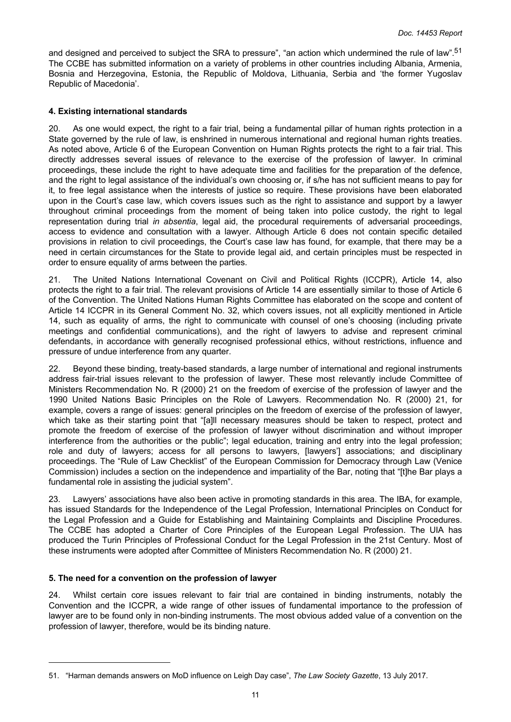<span id="page-10-0"></span>and designed and perceived to subject the SRA to pressure", "an action which undermined the rule of law".<sup>51</sup> The CCBE has submitted information on a variety of problems in other countries including Albania, Armenia, Bosnia and Herzegovina, Estonia, the Republic of Moldova, Lithuania, Serbia and 'the former Yugoslav Republic of Macedonia'.

### **4. Existing international standards**

20. As one would expect, the right to a fair trial, being a fundamental pillar of human rights protection in a State governed by the rule of law, is enshrined in numerous international and regional human rights treaties. As noted above, Article 6 of the European Convention on Human Rights protects the right to a fair trial. This directly addresses several issues of relevance to the exercise of the profession of lawyer. In criminal proceedings, these include the right to have adequate time and facilities for the preparation of the defence, and the right to legal assistance of the individual's own choosing or, if s/he has not sufficient means to pay for it, to free legal assistance when the interests of justice so require. These provisions have been elaborated upon in the Court's case law, which covers issues such as the right to assistance and support by a lawyer throughout criminal proceedings from the moment of being taken into police custody, the right to legal representation during trial *in absentia*, legal aid, the procedural requirements of adversarial proceedings, access to evidence and consultation with a lawyer. Although Article 6 does not contain specific detailed provisions in relation to civil proceedings, the Court's case law has found, for example, that there may be a need in certain circumstances for the State to provide legal aid, and certain principles must be respected in order to ensure equality of arms between the parties.

21. The United Nations International Covenant on Civil and Political Rights (ICCPR), Article 14, also protects the right to a fair trial. The relevant provisions of Article 14 are essentially similar to those of Article 6 of the Convention. The United Nations Human Rights Committee has elaborated on the scope and content of Article 14 ICCPR in its General Comment No. 32, which covers issues, not all explicitly mentioned in Article 14, such as equality of arms, the right to communicate with counsel of one's choosing (including private meetings and confidential communications), and the right of lawyers to advise and represent criminal defendants, in accordance with generally recognised professional ethics, without restrictions, influence and pressure of undue interference from any quarter.

22. Beyond these binding, treaty-based standards, a large number of international and regional instruments address fair-trial issues relevant to the profession of lawyer. These most relevantly include Committee of Ministers Recommendation No. R (2000) 21 on the freedom of exercise of the profession of lawyer and the 1990 United Nations Basic Principles on the Role of Lawyers. Recommendation No. R (2000) 21, for example, covers a range of issues: general principles on the freedom of exercise of the profession of lawyer, which take as their starting point that "[a]ll necessary measures should be taken to respect, protect and promote the freedom of exercise of the profession of lawyer without discrimination and without improper interference from the authorities or the public"; legal education, training and entry into the legal profession; role and duty of lawyers; access for all persons to lawyers, [lawyers'] associations; and disciplinary proceedings. The "Rule of Law Checklist" of the European Commission for Democracy through Law (Venice Commission) includes a section on the independence and impartiality of the Bar, noting that "[t]he Bar plays a fundamental role in assisting the judicial system".

23. Lawyers' associations have also been active in promoting standards in this area. The IBA, for example, has issued Standards for the Independence of the Legal Profession, International Principles on Conduct for the Legal Profession and a Guide for Establishing and Maintaining Complaints and Discipline Procedures. The CCBE has adopted a Charter of Core Principles of the European Legal Profession. The UIA has produced the Turin Principles of Professional Conduct for the Legal Profession in the 21st Century. Most of these instruments were adopted after Committee of Ministers Recommendation No. R (2000) 21.

#### **5. The need for a convention on the profession of lawyer**

24. Whilst certain core issues relevant to fair trial are contained in binding instruments, notably the Convention and the ICCPR, a wide range of other issues of fundamental importance to the profession of lawyer are to be found only in non-binding instruments. The most obvious added value of a convention on the profession of lawyer, therefore, would be its binding nature.

<sup>51. &</sup>quot;Harman demands answers on MoD influence on Leigh Day case", *The Law Society Gazette*, 13 July 2017.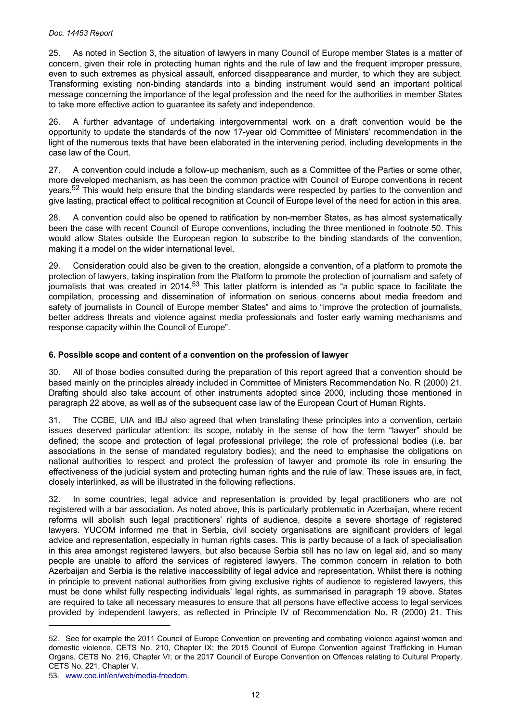#### <span id="page-11-0"></span>*Doc. 14453 Report*

25. As noted in Section 3, the situation of lawyers in many Council of Europe member States is a matter of concern, given their role in protecting human rights and the rule of law and the frequent improper pressure, even to such extremes as physical assault, enforced disappearance and murder, to which they are subject. Transforming existing non-binding standards into a binding instrument would send an important political message concerning the importance of the legal profession and the need for the authorities in member States to take more effective action to guarantee its safety and independence.

26. A further advantage of undertaking intergovernmental work on a draft convention would be the opportunity to update the standards of the now 17-year old Committee of Ministers' recommendation in the light of the numerous texts that have been elaborated in the intervening period, including developments in the case law of the Court.

27. A convention could include a follow-up mechanism, such as a Committee of the Parties or some other, more developed mechanism, as has been the common practice with Council of Europe conventions in recent years.<sup>52</sup> This would help ensure that the binding standards were respected by parties to the convention and give lasting, practical effect to political recognition at Council of Europe level of the need for action in this area.

28. A convention could also be opened to ratification by non-member States, as has almost systematically been the case with recent Council of Europe conventions, including the three mentioned in footnote 50. This would allow States outside the European region to subscribe to the binding standards of the convention, making it a model on the wider international level.

29. Consideration could also be given to the creation, alongside a convention, of a platform to promote the protection of lawyers, taking inspiration from the Platform to promote the protection of journalism and safety of journalists that was created in 2014.<sup>53</sup> This latter platform is intended as "a public space to facilitate the compilation, processing and dissemination of information on serious concerns about media freedom and safety of journalists in Council of Europe member States" and aims to "improve the protection of journalists, better address threats and violence against media professionals and foster early warning mechanisms and response capacity within the Council of Europe".

# **6. Possible scope and content of a convention on the profession of lawyer**

30. All of those bodies consulted during the preparation of this report agreed that a convention should be based mainly on the principles already included in Committee of Ministers Recommendation No. R (2000) 21. Drafting should also take account of other instruments adopted since 2000, including those mentioned in paragraph 22 above, as well as of the subsequent case law of the European Court of Human Rights.

31. The CCBE, UIA and IBJ also agreed that when translating these principles into a convention, certain issues deserved particular attention: its scope, notably in the sense of how the term "lawyer" should be defined; the scope and protection of legal professional privilege; the role of professional bodies (i.e. bar associations in the sense of mandated regulatory bodies); and the need to emphasise the obligations on national authorities to respect and protect the profession of lawyer and promote its role in ensuring the effectiveness of the judicial system and protecting human rights and the rule of law. These issues are, in fact, closely interlinked, as will be illustrated in the following reflections.

32. In some countries, legal advice and representation is provided by legal practitioners who are not registered with a bar association. As noted above, this is particularly problematic in Azerbaijan, where recent reforms will abolish such legal practitioners' rights of audience, despite a severe shortage of registered lawyers. YUCOM informed me that in Serbia, civil society organisations are significant providers of legal advice and representation, especially in human rights cases. This is partly because of a lack of specialisation in this area amongst registered lawyers, but also because Serbia still has no law on legal aid, and so many people are unable to afford the services of registered lawyers. The common concern in relation to both Azerbaijan and Serbia is the relative inaccessibility of legal advice and representation. Whilst there is nothing in principle to prevent national authorities from giving exclusive rights of audience to registered lawyers, this must be done whilst fully respecting individuals' legal rights, as summarised in paragraph 19 above. States are required to take all necessary measures to ensure that all persons have effective access to legal services provided by independent lawyers, as reflected in Principle IV of Recommendation No. R (2000) 21. This

<sup>52.</sup> See for example the 2011 Council of Europe Convention on preventing and combating violence against women and domestic violence, CETS No. 210, Chapter IX; the 2015 Council of Europe Convention against Trafficking in Human Organs, CETS No. 216, Chapter VI; or the 2017 Council of Europe Convention on Offences relating to Cultural Property, CETS No. 221, Chapter V.

<sup>53.</sup> [www.coe.int/en/web/media-freedom](http://www.coe.int/en/web/media-freedom).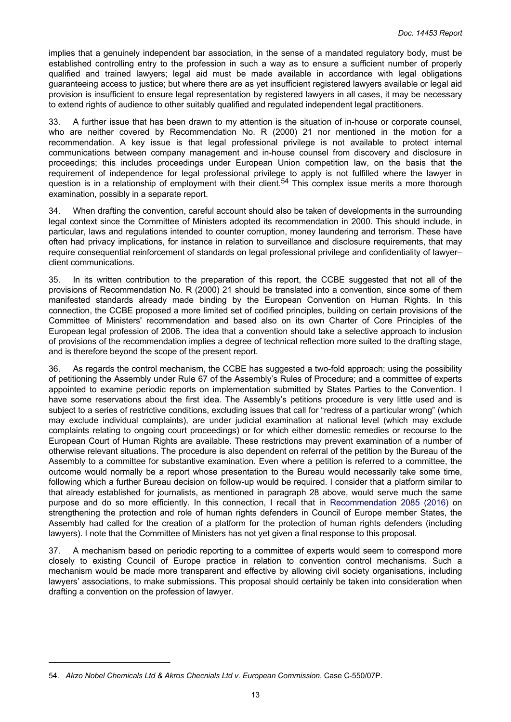implies that a genuinely independent bar association, in the sense of a mandated regulatory body, must be established controlling entry to the profession in such a way as to ensure a sufficient number of properly qualified and trained lawyers; legal aid must be made available in accordance with legal obligations guaranteeing access to justice; but where there are as yet insufficient registered lawyers available or legal aid provision is insufficient to ensure legal representation by registered lawyers in all cases, it may be necessary to extend rights of audience to other suitably qualified and regulated independent legal practitioners.

33. A further issue that has been drawn to my attention is the situation of in-house or corporate counsel, who are neither covered by Recommendation No. R (2000) 21 nor mentioned in the motion for a recommendation. A key issue is that legal professional privilege is not available to protect internal communications between company management and in-house counsel from discovery and disclosure in proceedings; this includes proceedings under European Union competition law, on the basis that the requirement of independence for legal professional privilege to apply is not fulfilled where the lawyer in question is in a relationship of employment with their client.<sup>54</sup> This complex issue merits a more thorough examination, possibly in a separate report.

34. When drafting the convention, careful account should also be taken of developments in the surrounding legal context since the Committee of Ministers adopted its recommendation in 2000. This should include, in particular, laws and regulations intended to counter corruption, money laundering and terrorism. These have often had privacy implications, for instance in relation to surveillance and disclosure requirements, that may require consequential reinforcement of standards on legal professional privilege and confidentiality of lawyer– client communications.

35. In its written contribution to the preparation of this report, the CCBE suggested that not all of the provisions of Recommendation No. R (2000) 21 should be translated into a convention, since some of them manifested standards already made binding by the European Convention on Human Rights. In this connection, the CCBE proposed a more limited set of codified principles, building on certain provisions of the Committee of Ministers' recommendation and based also on its own Charter of Core Principles of the European legal profession of 2006. The idea that a convention should take a selective approach to inclusion of provisions of the recommendation implies a degree of technical reflection more suited to the drafting stage, and is therefore beyond the scope of the present report.

36. As regards the control mechanism, the CCBE has suggested a two-fold approach: using the possibility of petitioning the Assembly under Rule 67 of the Assembly's Rules of Procedure; and a committee of experts appointed to examine periodic reports on implementation submitted by States Parties to the Convention. I have some reservations about the first idea. The Assembly's petitions procedure is very little used and is subject to a series of restrictive conditions, excluding issues that call for "redress of a particular wrong" (which may exclude individual complaints), are under judicial examination at national level (which may exclude complaints relating to ongoing court proceedings) or for which either domestic remedies or recourse to the European Court of Human Rights are available. These restrictions may prevent examination of a number of otherwise relevant situations. The procedure is also dependent on referral of the petition by the Bureau of the Assembly to a committee for substantive examination. Even where a petition is referred to a committee, the outcome would normally be a report whose presentation to the Bureau would necessarily take some time, following which a further Bureau decision on follow-up would be required. I consider that a platform similar to that already established for journalists, as mentioned in paragraph 28 above, would serve much the same purpose and do so more efficiently. In this connection, I recall that in [Recommendation](http://assembly.coe.int/nw/xml/XRef/Xref-DocDetails-en.asp?FileId=22501) 2085 (2016) on strengthening the protection and role of human rights defenders in Council of Europe member States, the Assembly had called for the creation of a platform for the protection of human rights defenders (including lawyers). I note that the Committee of Ministers has not yet given a final response to this proposal.

37. A mechanism based on periodic reporting to a committee of experts would seem to correspond more closely to existing Council of Europe practice in relation to convention control mechanisms. Such a mechanism would be made more transparent and effective by allowing civil society organisations, including lawyers' associations, to make submissions. This proposal should certainly be taken into consideration when drafting a convention on the profession of lawyer.

<sup>54.</sup> *Akzo Nobel Chemicals Ltd & Akros Checnials Ltd v. European Commission*, Case C-550/07P.